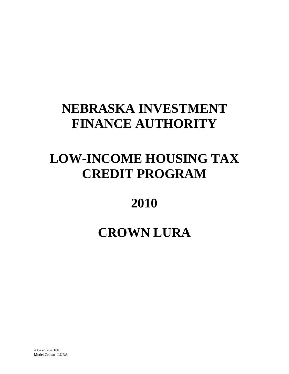# **NEBRASKA INVESTMENT FINANCE AUTHORITY**

# **LOW-INCOME HOUSING TAX CREDIT PROGRAM**

# **2010**

# **CROWN LURA**

4832-2926-6180.1 Model Crown LURA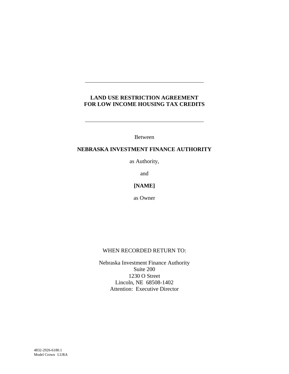## **LAND USE RESTRICTION AGREEMENT FOR LOW INCOME HOUSING TAX CREDITS**

Between

## **NEBRASKA INVESTMENT FINANCE AUTHORITY**

as Authority,

and

## **[NAME]**

as Owner

## WHEN RECORDED RETURN TO:

Nebraska Investment Finance Authority Suite 200 1230 O Street Lincoln, NE 68508-1402 Attention: Executive Director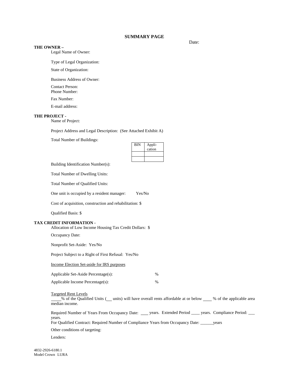#### **SUMMARY PAGE**

#### **THE OWNER –**

Legal Name of Owner:

Type of Legal Organization:

State of Organization:

Business Address of Owner:

Contact Person: Phone Number:

Fax Number:

E-mail address:

#### **THE PROJECT -**

Name of Project:

Project Address and Legal Description: (See Attached Exhibit A)

Total Number of Buildings:

| <b>BIN</b> | Appli-<br>cation |
|------------|------------------|
|            |                  |
|            |                  |

Building Identification Number(s):

Total Number of Dwelling Units:

Total Number of Qualified Units:

One unit is occupied by a resident manager: Yes/No

Cost of acquisition, construction and rehabilitation: \$

Qualified Basis: \$

#### **TAX CREDIT INFORMATION -**

Allocation of Low Income Housing Tax Credit Dollars: \$

Occupancy Date:

Nonprofit Set-Aside: Yes/No

Project Subject to a Right of First Refusal: Yes/No

Income Election Set-aside for IRS purposes

| Applicable Set-Aside Percentage(s): | $\%$ |
|-------------------------------------|------|
| Applicable Income Percentage(s):    | $\%$ |

Targeted Rent Levels

% of the Qualified Units ( units) will have overall rents affordable at or below \_\_\_ % of the applicable area median income.

Required Number of Years From Occupancy Date: \_\_\_\_ years. Extended Period \_\_\_\_ years. Compliance Period: \_\_\_ years.

For Qualified Contract: Required Number of Compliance Years from Occupancy Date: \_\_\_\_\_\_years

Other conditions of targeting:

Lenders:

Date: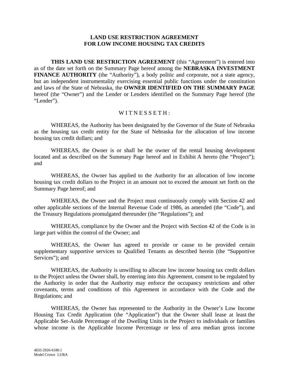### **LAND USE RESTRICTION AGREEMENT FOR LOW INCOME HOUSING TAX CREDITS**

**THIS LAND USE RESTRICTION AGREEMENT** (this "Agreement") is entered into as of the date set forth on the Summary Page hereof among the **NEBRASKA INVESTMENT FINANCE AUTHORITY** (the "Authority"), a body politic and corporate, not a state agency, but an independent instrumentality exercising essential public functions under the constitution and laws of the State of Nebraska, the **OWNER IDENTIFIED ON THE SUMMARY PAGE** hereof (the "Owner") and the Lender or Lenders identified on the Summary Page hereof (the "Lender").

## WITNESSETH:

WHEREAS, the Authority has been designated by the Governor of the State of Nebraska as the housing tax credit entity for the State of Nebraska for the allocation of low income housing tax credit dollars; and

WHEREAS, the Owner is or shall be the owner of the rental housing development located and as described on the Summary Page hereof and in Exhibit A hereto (the "Project"); and

WHEREAS, the Owner has applied to the Authority for an allocation of low income housing tax credit dollars to the Project in an amount not to exceed the amount set forth on the Summary Page hereof; and

WHEREAS, the Owner and the Project must continuously comply with Section 42 and other applicable sections of the Internal Revenue Code of 1986, as amended (the "Code"), and the Treasury Regulations promulgated thereunder (the "Regulations"); and

WHEREAS, compliance by the Owner and the Project with Section 42 of the Code is in large part within the control of the Owner; and

WHEREAS, the Owner has agreed to provide or cause to be provided certain supplementary supportive services to Qualified Tenants as described herein (the "Supportive Services"); and

WHEREAS, the Authority is unwilling to allocate low income housing tax credit dollars to the Project unless the Owner shall, by entering into this Agreement, consent to be regulated by the Authority in order that the Authority may enforce the occupancy restrictions and other covenants, terms and conditions of this Agreement in accordance with the Code and the Regulations; and

WHEREAS, the Owner has represented to the Authority in the Owner's Low Income Housing Tax Credit Application (the "Application") that the Owner shall lease at least the Applicable Set-Aside Percentage of the Dwelling Units in the Project to individuals or families whose income is the Applicable Income Percentage or less of area median gross income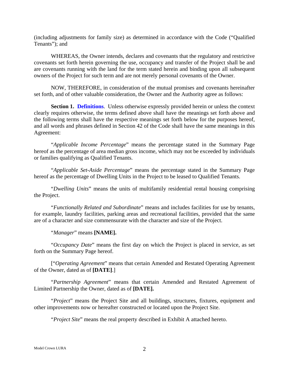(including adjustments for family size) as determined in accordance with the Code ("Qualified Tenants"); and

WHEREAS, the Owner intends, declares and covenants that the regulatory and restrictive covenants set forth herein governing the use, occupancy and transfer of the Project shall be and are covenants running with the land for the term stated herein and binding upon all subsequent owners of the Project for such term and are not merely personal covenants of the Owner.

NOW, THEREFORE, in consideration of the mutual promises and covenants hereinafter set forth, and of other valuable consideration, the Owner and the Authority agree as follows:

**Section 1. Definitions.** Unless otherwise expressly provided herein or unless the context clearly requires otherwise, the terms defined above shall have the meanings set forth above and the following terms shall have the respective meanings set forth below for the purposes hereof, and all words and phrases defined in Section 42 of the Code shall have the same meanings in this Agreement:

"*Applicable Income Percentage*" means the percentage stated in the Summary Page hereof as the percentage of area median gross income, which may not be exceeded by individuals or families qualifying as Qualified Tenants.

"*Applicable Set-Aside Percentage*" means the percentage stated in the Summary Page hereof as the percentage of Dwelling Units in the Project to be leased to Qualified Tenants.

"*Dwelling Units*" means the units of multifamily residential rental housing comprising the Project.

"*Functionally Related and Subordinate*" means and includes facilities for use by tenants, for example, laundry facilities, parking areas and recreational facilities, provided that the same are of a character and size commensurate with the character and size of the Project.

"*Manager*" means **[NAME].**

"*Occupancy Date*" means the first day on which the Project is placed in service, as set forth on the Summary Page hereof.

["*Operating Agreement*" means that certain Amended and Restated Operating Agreement of the Owner, dated as of **[DATE]**.]

"*Partnership Agreement*" means that certain Amended and Restated Agreement of Limited Partnership the Owner, dated as of **[DATE].**

"*Project*" means the Project Site and all buildings, structures, fixtures, equipment and other improvements now or hereafter constructed or located upon the Project Site.

"*Project Site*" means the real property described in Exhibit A attached hereto.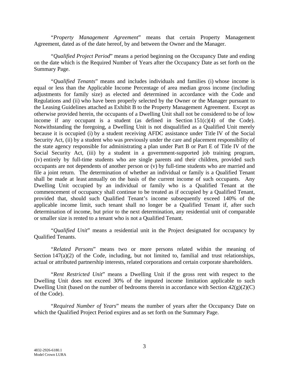"*Property Management Agreement*" means that certain Property Management Agreement, dated as of the date hereof, by and between the Owner and the Manager.

"*Qualified Project Period*" means a period beginning on the Occupancy Date and ending on the date which is the Required Number of Years after the Occupancy Date as set forth on the Summary Page.

"*Qualified Tenants*" means and includes individuals and families (i) whose income is equal or less than the Applicable Income Percentage of area median gross income (including adjustments for family size) as elected and determined in accordance with the Code and Regulations and (ii) who have been properly selected by the Owner or the Manager pursuant to the Leasing Guidelines attached as Exhibit B to the Property Management Agreement. Except as otherwise provided herein, the occupants of a Dwelling Unit shall not be considered to be of low income if any occupant is a student (as defined in Section  $151(c)(4)$  of the Code). Notwithstanding the foregoing, a Dwelling Unit is not disqualified as a Qualified Unit merely because it is occupied (i) by a student receiving AFDC assistance under Title IV of the Social Security Act, (ii) by a student who was previously under the care and placement responsibility of the state agency responsible for administrating a plan under Part B or Part E of Title IV of the Social Security Act, (iii) by a student in a government-supported job training program, (iv) entirely by full-time students who are single parents and their children, provided such occupants are not dependents of another person or (v) by full-time students who are married and file a joint return. The determination of whether an individual or family is a Qualified Tenant shall be made at least annually on the basis of the current income of such occupants. Any Dwelling Unit occupied by an individual or family who is a Qualified Tenant at the commencement of occupancy shall continue to be treated as if occupied by a Qualified Tenant, provided that, should such Qualified Tenant's income subsequently exceed 140% of the applicable income limit, such tenant shall no longer be a Qualified Tenant if, after such determination of income, but prior to the next determination, any residential unit of comparable or smaller size is rented to a tenant who is not a Qualified Tenant.

"*Qualified Unit*" means a residential unit in the Project designated for occupancy by Qualified Tenants.

"*Related Persons*" means two or more persons related within the meaning of Section 147(a)(2) of the Code, including, but not limited to, familial and trust relationships, actual or attributed partnership interests, related corporations and certain corporate shareholders.

"*Rent Restricted Unit*" means a Dwelling Unit if the gross rent with respect to the Dwelling Unit does not exceed 30% of the imputed income limitation applicable to such Dwelling Unit (based on the number of bedrooms therein in accordance with Section 42(g)(2)(C) of the Code).

"*Required Number of Years*" means the number of years after the Occupancy Date on which the Qualified Project Period expires and as set forth on the Summary Page.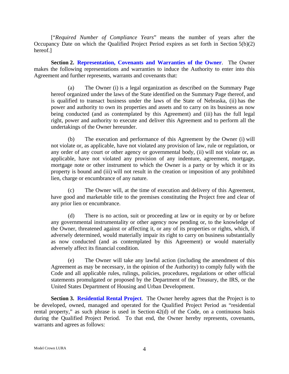["*Required Number of Compliance Years*" means the number of years after the Occupancy Date on which the Qualified Project Period expires as set forth in Section 5(b)(2) hereof.]

**Section 2. Representation, Covenants and Warranties of the Owner**. The Owner makes the following representations and warranties to induce the Authority to enter into this Agreement and further represents, warrants and covenants that:

(a) The Owner (i) is a legal organization as described on the Summary Page hereof organized under the laws of the State identified on the Summary Page thereof, and is qualified to transact business under the laws of the State of Nebraska, (ii) has the power and authority to own its properties and assets and to carry on its business as now being conducted (and as contemplated by this Agreement) and (iii) has the full legal right, power and authority to execute and deliver this Agreement and to perform all the undertakings of the Owner hereunder.

(b) The execution and performance of this Agreement by the Owner (i) will not violate or, as applicable, have not violated any provision of law, rule or regulation, or any order of any court or other agency or governmental body, (ii) will not violate or, as applicable, have not violated any provision of any indenture, agreement, mortgage, mortgage note or other instrument to which the Owner is a party or by which it or its property is bound and (iii) will not result in the creation or imposition of any prohibited lien, charge or encumbrance of any nature.

(c) The Owner will, at the time of execution and delivery of this Agreement, have good and marketable title to the premises constituting the Project free and clear of any prior lien or encumbrance.

(d) There is no action, suit or proceeding at law or in equity or by or before any governmental instrumentality or other agency now pending or, to the knowledge of the Owner, threatened against or affecting it, or any of its properties or rights, which, if adversely determined, would materially impair its right to carry on business substantially as now conducted (and as contemplated by this Agreement) or would materially adversely affect its financial condition.

(e) The Owner will take any lawful action (including the amendment of this Agreement as may be necessary, in the opinion of the Authority) to comply fully with the Code and all applicable rules, rulings, policies, procedures, regulations or other official statements promulgated or proposed by the Department of the Treasury, the IRS, or the United States Department of Housing and Urban Development.

**Section 3. Residential Rental Project**. The Owner hereby agrees that the Project is to be developed, owned, managed and operated for the Qualified Project Period as "residential rental property," as such phrase is used in Section 42(d) of the Code, on a continuous basis during the Qualified Project Period. To that end, the Owner hereby represents, covenants, warrants and agrees as follows: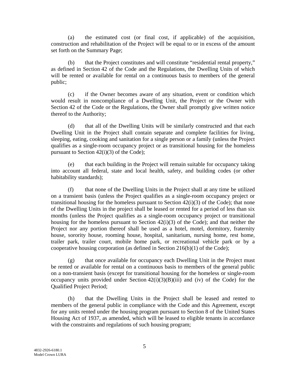(a) the estimated cost (or final cost, if applicable) of the acquisition, construction and rehabilitation of the Project will be equal to or in excess of the amount set forth on the Summary Page;

(b) that the Project constitutes and will constitute "residential rental property," as defined in Section 42 of the Code and the Regulations, the Dwelling Units of which will be rented or available for rental on a continuous basis to members of the general public;

(c) if the Owner becomes aware of any situation, event or condition which would result in noncompliance of a Dwelling Unit, the Project or the Owner with Section 42 of the Code or the Regulations, the Owner shall promptly give written notice thereof to the Authority;

(d) that all of the Dwelling Units will be similarly constructed and that each Dwelling Unit in the Project shall contain separate and complete facilities for living, sleeping, eating, cooking and sanitation for a single person or a family (unless the Project qualifies as a single-room occupancy project or as transitional housing for the homeless pursuant to Section 42(i)(3) of the Code);

(e) that each building in the Project will remain suitable for occupancy taking into account all federal, state and local health, safety, and building codes (or other habitability standards);

(f) that none of the Dwelling Units in the Project shall at any time be utilized on a transient basis (unless the Project qualifies as a single-room occupancy project or transitional housing for the homeless pursuant to Section 42(i)(3) of the Code); that none of the Dwelling Units in the project shall be leased or rented for a period of less than six months (unless the Project qualifies as a single-room occupancy project or transitional housing for the homeless pursuant to Section 42(i)(3) of the Code); and that neither the Project nor any portion thereof shall be used as a hotel, motel, dormitory, fraternity house, sorority house, rooming house, hospital, sanitarium, nursing home, rest home, trailer park, trailer court, mobile home park, or recreational vehicle park or by a cooperative housing corporation (as defined in Section 216(b)(1) of the Code);

(g) that once available for occupancy each Dwelling Unit in the Project must be rented or available for rental on a continuous basis to members of the general public on a non-transient basis (except for transitional housing for the homeless or single-room occupancy units provided under Section  $42(i)(3)(B(iii))$  and (iv) of the Code) for the Qualified Project Period;

(h) that the Dwelling Units in the Project shall be leased and rented to members of the general public in compliance with the Code and this Agreement, except for any units rented under the housing program pursuant to Section 8 of the United States Housing Act of 1937, as amended, which will be leased to eligible tenants in accordance with the constraints and regulations of such housing program;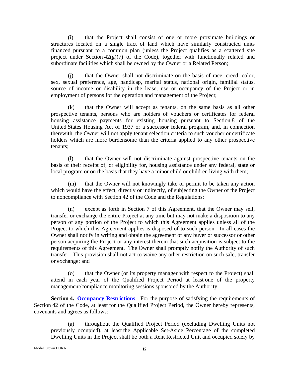(i) that the Project shall consist of one or more proximate buildings or structures located on a single tract of land which have similarly constructed units financed pursuant to a common plan (unless the Project qualifies as a scattered site project under Section  $42(g)(7)$  of the Code), together with functionally related and subordinate facilities which shall be owned by the Owner or a Related Person;

(j) that the Owner shall not discriminate on the basis of race, creed, color, sex, sexual preference, age, handicap, marital status, national origin, familial status, source of income or disability in the lease, use or occupancy of the Project or in employment of persons for the operation and management of the Project;

(k) that the Owner will accept as tenants, on the same basis as all other prospective tenants, persons who are holders of vouchers or certificates for federal housing assistance payments for existing housing pursuant to Section 8 of the United States Housing Act of 1937 or a successor federal program, and, in connection therewith, the Owner will not apply tenant selection criteria to such voucher or certificate holders which are more burdensome than the criteria applied to any other prospective tenants;

(l) that the Owner will not discriminate against prospective tenants on the basis of their receipt of, or eligibility for, housing assistance under any federal, state or local program or on the basis that they have a minor child or children living with them;

(m) that the Owner will not knowingly take or permit to be taken any action which would have the effect, directly or indirectly, of subjecting the Owner of the Project to noncompliance with Section 42 of the Code and the Regulations;

(n) except as forth in Section 7 of this Agreement, that the Owner may sell, transfer or exchange the entire Project at any time but may not make a disposition to any person of any portion of the Project to which this Agreement applies unless all of the Project to which this Agreement applies is disposed of to such person. In all cases the Owner shall notify in writing and obtain the agreement of any buyer or successor or other person acquiring the Project or any interest therein that such acquisition is subject to the requirements of this Agreement. The Owner shall promptly notify the Authority of such transfer. This provision shall not act to waive any other restriction on such sale, transfer or exchange; and

(o) that the Owner (or its property manager with respect to the Project) shall attend in each year of the Qualified Project Period at least one of the property management/compliance monitoring sessions sponsored by the Authority.

**Section 4. Occupancy Restrictions.** For the purpose of satisfying the requirements of Section 42 of the Code, at least for the Qualified Project Period, the Owner hereby represents, covenants and agrees as follows:

(a) throughout the Qualified Project Period (excluding Dwelling Units not previously occupied), at least the Applicable Set-Aside Percentage of the completed Dwelling Units in the Project shall be both a Rent Restricted Unit and occupied solely by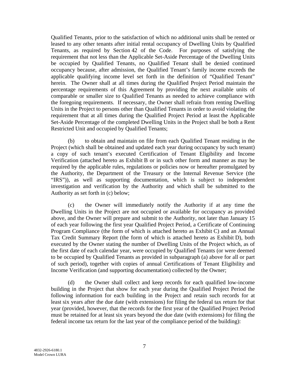Qualified Tenants, prior to the satisfaction of which no additional units shall be rented or leased to any other tenants after initial rental occupancy of Dwelling Units by Qualified Tenants, as required by Section 42 of the Code. For purposes of satisfying the requirement that not less than the Applicable Set-Aside Percentage of the Dwelling Units be occupied by Qualified Tenants, no Qualified Tenant shall be denied continued occupancy because, after admission, the Qualified Tenant's family income exceeds the applicable qualifying income level set forth in the definition of "Qualified Tenant" herein. The Owner shall at all times during the Qualified Project Period maintain the percentage requirements of this Agreement by providing the next available units of comparable or smaller size to Qualified Tenants as needed to achieve compliance with the foregoing requirements. If necessary, the Owner shall refrain from renting Dwelling Units in the Project to persons other than Qualified Tenants in order to avoid violating the requirement that at all times during the Qualified Project Period at least the Applicable Set-Aside Percentage of the completed Dwelling Units in the Project shall be both a Rent Restricted Unit and occupied by Qualified Tenants;

(b) to obtain and maintain on file from each Qualified Tenant residing in the Project (which shall be obtained and updated each year during occupancy by such tenant) a copy of such tenant's executed Certification of Tenant Eligibility and Income Verification (attached hereto as Exhibit B or in such other form and manner as may be required by the applicable rules, regulations or policies now or hereafter promulgated by the Authority, the Department of the Treasury or the Internal Revenue Service (the "IRS")), as well as supporting documentation, which is subject to independent investigation and verification by the Authority and which shall be submitted to the Authority as set forth in (c) below;

(c) the Owner will immediately notify the Authority if at any time the Dwelling Units in the Project are not occupied or available for occupancy as provided above, and the Owner will prepare and submit to the Authority, not later than January 15 of each year following the first year Qualified Project Period, a Certificate of Continuing Program Compliance (the form of which is attached hereto as Exhibit C) and an Annual Tax Credit Summary Report (the form of which is attached hereto as Exhibit D), both executed by the Owner stating the number of Dwelling Units of the Project which, as of the first date of each calendar year, were occupied by Qualified Tenants (or were deemed to be occupied by Qualified Tenants as provided in subparagraph (a) above for all or part of such period), together with copies of annual Certifications of Tenant Eligibility and Income Verification (and supporting documentation) collected by the Owner;

(d) the Owner shall collect and keep records for each qualified low-income building in the Project that show for each year during the Qualified Project Period the following information for each building in the Project and retain such records for at least six years after the due date (with extensions) for filing the federal tax return for that year (provided, however, that the records for the first year of the Qualified Project Period must be retained for at least six years beyond the due date (with extensions) for filing the federal income tax return for the last year of the compliance period of the building):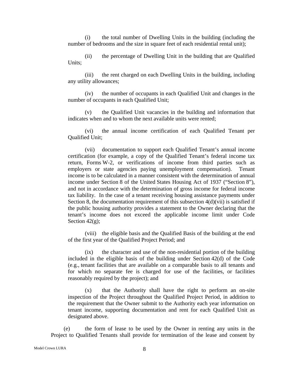(i) the total number of Dwelling Units in the building (including the number of bedrooms and the size in square feet of each residential rental unit);

(ii) the percentage of Dwelling Unit in the building that are Qualified Units;

(iii) the rent charged on each Dwelling Units in the building, including any utility allowances;

(iv) the number of occupants in each Qualified Unit and changes in the number of occupants in each Qualified Unit;

(v) the Qualified Unit vacancies in the building and information that indicates when and to whom the next available units were rented;

(vi) the annual income certification of each Qualified Tenant per Qualified Unit;

(vii) documentation to support each Qualified Tenant's annual income certification (for example, a copy of the Qualified Tenant's federal income tax return, Forms W-2, or verifications of income from third parties such as employers or state agencies paying unemployment compensation). Tenant income is to be calculated in a manner consistent with the determination of annual income under Section 8 of the United States Housing Act of 1937 ("Section 8"), and not in accordance with the determination of gross income for federal income tax liability. In the case of a tenant receiving housing assistance payments under Section 8, the documentation requirement of this subsection 4(d)(vii) is satisfied if the public housing authority provides a statement to the Owner declaring that the tenant's income does not exceed the applicable income limit under Code Section  $42(g)$ ;

(viii) the eligible basis and the Qualified Basis of the building at the end of the first year of the Qualified Project Period; and

(ix) the character and use of the non-residential portion of the building included in the eligible basis of the building under Section 42(d) of the Code (e.g., tenant facilities that are available on a comparable basis to all tenants and for which no separate fee is charged for use of the facilities, or facilities reasonably required by the project); and

(x) that the Authority shall have the right to perform an on-site inspection of the Project throughout the Qualified Project Period, in addition to the requirement that the Owner submit to the Authority each year information on tenant income, supporting documentation and rent for each Qualified Unit as designated above.

(e) the form of lease to be used by the Owner in renting any units in the Project to Qualified Tenants shall provide for termination of the lease and consent by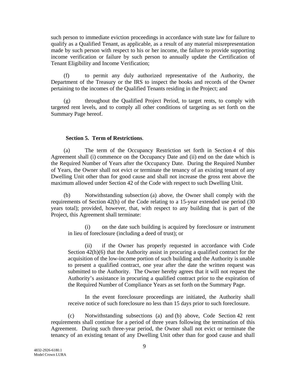such person to immediate eviction proceedings in accordance with state law for failure to qualify as a Qualified Tenant, as applicable, as a result of any material misrepresentation made by such person with respect to his or her income, the failure to provide supporting income verification or failure by such person to annually update the Certification of Tenant Eligibility and Income Verification;

 (f) to permit any duly authorized representative of the Authority, the Department of the Treasury or the IRS to inspect the books and records of the Owner pertaining to the incomes of the Qualified Tenants residing in the Project; and

 (g) throughout the Qualified Project Period, to target rents, to comply with targeted rent levels, and to comply all other conditions of targeting as set forth on the Summary Page hereof.

### **Section 5. Term of Restrictions**.

(a) The term of the Occupancy Restriction set forth in Section 4 of this Agreement shall (i) commence on the Occupancy Date and (ii) end on the date which is the Required Number of Years after the Occupancy Date. During the Required Number of Years, the Owner shall not evict or terminate the tenancy of an existing tenant of any Dwelling Unit other than for good cause and shall not increase the gross rent above the maximum allowed under Section 42 of the Code with respect to such Dwelling Unit.

(b) Notwithstanding subsection (a) above, the Owner shall comply with the requirements of Section 42(h) of the Code relating to a 15-year extended use period (30 years total); provided, however, that, with respect to any building that is part of the Project, this Agreement shall terminate:

(i) on the date such building is acquired by foreclosure or instrument in lieu of foreclosure (including a deed of trust); or

 (ii) if the Owner has properly requested in accordance with Code Section 42(h)(6) that the Authority assist in procuring a qualified contract for the acquisition of the low-income portion of such building and the Authority is unable to present a qualified contract, one year after the date the written request was submitted to the Authority. The Owner hereby agrees that it will not request the Authority's assistance in procuring a qualified contract prior to the expiration of the Required Number of Compliance Years as set forth on the Summary Page.

In the event foreclosure proceedings are initiated, the Authority shall receive notice of such foreclosure no less than 15 days prior to such foreclosure.

(c) Notwithstanding subsections (a) and (b) above, Code Section 42 rent requirements shall continue for a period of three years following the termination of this Agreement. During such three-year period, the Owner shall not evict or terminate the tenancy of an existing tenant of any Dwelling Unit other than for good cause and shall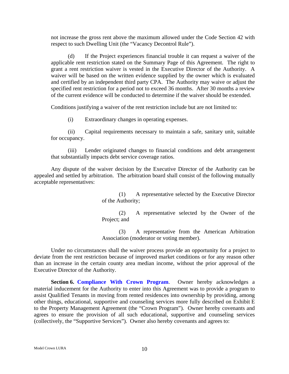not increase the gross rent above the maximum allowed under the Code Section 42 with respect to such Dwelling Unit (the "Vacancy Decontrol Rule").

(d) If the Project experiences financial trouble it can request a waiver of the applicable rent restriction stated on the Summary Page of this Agreement. The right to grant a rent restriction waiver is vested in the Executive Director of the Authority. A waiver will be based on the written evidence supplied by the owner which is evaluated and certified by an independent third party CPA. The Authority may waive or adjust the specified rent restriction for a period not to exceed 36 months. After 30 months a review of the current evidence will be conducted to determine if the waiver should be extended.

Conditions justifying a waiver of the rent restriction include but are not limited to:

(i) Extraordinary changes in operating expenses.

(ii) Capital requirements necessary to maintain a safe, sanitary unit, suitable for occupancy.

(iii) Lender originated changes to financial conditions and debt arrangement that substantially impacts debt service coverage ratios.

Any dispute of the waiver decision by the Executive Director of the Authority can be appealed and settled by arbitration. The arbitration board shall consist of the following mutually acceptable representatives:

> (1) A representative selected by the Executive Director of the Authority;

> (2) A representative selected by the Owner of the Project; and

> (3) A representative from the American Arbitration Association (moderator or voting member).

Under no circumstances shall the waiver process provide an opportunity for a project to deviate from the rent restriction because of improved market conditions or for any reason other than an increase in the certain county area median income, without the prior approval of the Executive Director of the Authority.

**Section 6. Compliance With Crown Program.** Owner hereby acknowledges a material inducement for the Authority to enter into this Agreement was to provide a program to assist Qualified Tenants in moving from rented residences into ownership by providing, among other things, educational, supportive and counseling services more fully described on Exhibit E to the Property Management Agreement (the "Crown Program"). Owner hereby covenants and agrees to ensure the provision of all such educational, supportive and counseling services (collectively, the "Supportive Services"). Owner also hereby covenants and agrees to: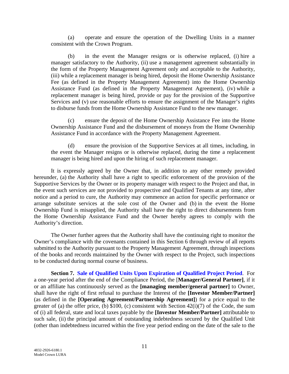(a) operate and ensure the operation of the Dwelling Units in a manner consistent with the Crown Program.

(b) in the event the Manager resigns or is otherwise replaced, (i) hire a manager satisfactory to the Authority, (ii) use a management agreement substantially in the form of the Property Management Agreement only and acceptable to the Authority, (iii) while a replacement manager is being hired, deposit the Home Ownership Assistance Fee (as defined in the Property Management Agreement) into the Home Ownership Assistance Fund (as defined in the Property Management Agreement), (iv) while a replacement manager is being hired, provide or pay for the provision of the Supportive Services and (v) use reasonable efforts to ensure the assignment of the Manager's rights to disburse funds from the Home Ownership Assistance Fund to the new manager.

(c) ensure the deposit of the Home Ownership Assistance Fee into the Home Ownership Assistance Fund and the disbursement of moneys from the Home Ownership Assistance Fund in accordance with the Property Management Agreement.

(d) ensure the provision of the Supportive Services at all times, including, in the event the Manager resigns or is otherwise replaced, during the time a replacement manager is being hired and upon the hiring of such replacement manager.

It is expressly agreed by the Owner that, in addition to any other remedy provided hereunder, (a) the Authority shall have a right to specific enforcement of the provision of the Supportive Services by the Owner or its property manager with respect to the Project and that, in the event such services are not provided to prospective and Qualified Tenants at any time, after notice and a period to cure, the Authority may commence an action for specific performance or arrange substitute services at the sole cost of the Owner and (b) in the event the Home Ownership Fund is misapplied, the Authority shall have the right to direct disbursements from the Home Ownership Assistance Fund and the Owner hereby agrees to comply with the Authority's direction.

The Owner further agrees that the Authority shall have the continuing right to monitor the Owner's compliance with the covenants contained in this Section 6 through review of all reports submitted to the Authority pursuant to the Property Management Agreement, through inspections of the books and records maintained by the Owner with respect to the Project, such inspections to be conducted during normal course of business.

**Section 7. Sale of Qualified Units Upon Expiration of Qualified Project Period**. For a one-year period after the end of the Compliance Period, the [**Manager/General Partner]**, if it or an affiliate has continuously served as the **[managing member/general partner]** to Owner, shall have the right of first refusal to purchase the Interest of the **[Investor Member/Partner]** (as defined in the **[Operating Agreement/Partnership Agreement]**) for a price equal to the greater of (a) the offer price, (b) \$100, (c) consistent with Section 42(i)(7) of the Code, the sum of (i) all federal, state and local taxes payable by the **[Investor Member/Partner]** attributable to such sale, (ii) the principal amount of outstanding indebtedness secured by the Qualified Unit (other than indebtedness incurred within the five year period ending on the date of the sale to the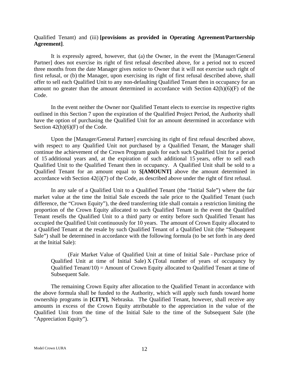#### Qualified Tenant) and (iii) **[provisions as provided in Operating Agreement/Partnership Agreement]**.

It is expressly agreed, however, that (a) the Owner, in the event the [Manager/General Partner] does not exercise its right of first refusal described above, for a period not to exceed three months from the date Manager gives notice to Owner that it will not exercise such right of first refusal, or (b) the Manager, upon exercising its right of first refusal described above, shall offer to sell each Qualified Unit to any non-defaulting Qualified Tenant then in occupancy for an amount no greater than the amount determined in accordance with Section 42(h)(6)(F) of the Code.

In the event neither the Owner nor Qualified Tenant elects to exercise its respective rights outlined in this Section 7 upon the expiration of the Qualified Project Period, the Authority shall have the option of purchasing the Qualified Unit for an amount determined in accordance with Section  $42(h)(6)(F)$  of the Code.

Upon the [Manager/General Partner] exercising its right of first refusal described above, with respect to any Qualified Unit not purchased by a Qualified Tenant, the Manager shall continue the achievement of the Crown Program goals for each such Qualified Unit for a period of 15 additional years and, at the expiration of such additional 15 years, offer to sell each Qualified Unit to the Qualified Tenant then in occupancy. A Qualified Unit shall be sold to a Qualified Tenant for an amount equal to \$**[AMOUNT]** above the amount determined in accordance with Section 42(i)(7) of the Code, as described above under the right of first refusal.

In any sale of a Qualified Unit to a Qualified Tenant (the "Initial Sale") where the fair market value at the time the Initial Sale exceeds the sale price to the Qualified Tenant (such difference, the "Crown Equity"), the deed transferring title shall contain a restriction limiting the proportion of the Crown Equity allocated to such Qualified Tenant in the event the Qualified Tenant resells the Qualified Unit to a third party or entity before such Qualified Tenant has occupied the Qualified Unit continuously for 10 years. The amount of Crown Equity allocated to a Qualified Tenant at the resale by such Qualified Tenant of a Qualified Unit (the "Subsequent Sale") shall be determined in accordance with the following formula (to be set forth in any deed at the Initial Sale):

(Fair Market Value of Qualified Unit at time of Initial Sale - Purchase price of Qualified Unit at time of Initial Sale) X (Total number of years of occupancy by Qualified Tenant/10) = Amount of Crown Equity allocated to Qualified Tenant at time of Subsequent Sale.

The remaining Crown Equity after allocation to the Qualified Tenant in accordance with the above formula shall be funded to the Authority, which will apply such funds toward home ownership programs in **[CITY]**, Nebraska. The Qualified Tenant, however, shall receive any amounts in excess of the Crown Equity attributable to the appreciation in the value of the Qualified Unit from the time of the Initial Sale to the time of the Subsequent Sale (the "Appreciation Equity").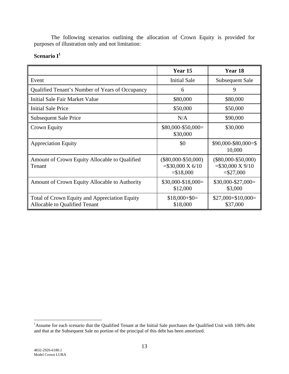The following scenarios outlining the allocation of Crown Equity is provided for purposes of illustration only and not limitation:

## Scenario I<sup>1</sup>

|                                                                                | Year 15                                                             | Year 18                                                               |
|--------------------------------------------------------------------------------|---------------------------------------------------------------------|-----------------------------------------------------------------------|
| Event                                                                          | <b>Initial Sale</b>                                                 | Subsequent Sale                                                       |
| Qualified Tenant's Number of Years of Occupancy                                | 6                                                                   | 9                                                                     |
| Initial Sale Fair Market Value                                                 | \$80,000                                                            | \$80,000                                                              |
| <b>Initial Sale Price</b>                                                      | \$50,000                                                            | \$50,000                                                              |
| <b>Subsequent Sale Price</b>                                                   | N/A                                                                 | \$90,000                                                              |
| Crown Equity                                                                   | $$80,000-\$50,000=$<br>\$30,000                                     | \$30,000                                                              |
| <b>Appreciation Equity</b>                                                     | \$0                                                                 | $$90,000 - $80,000 = $$<br>10,000                                     |
| Amount of Crown Equity Allocable to Qualified<br>Tenant                        | $(\$80,000-\$50,000)$<br>$= $30,000 \text{ X } 6/10$<br>$= $18,000$ | $(\$80,000 - \$50,000)$<br>$= $30,000 \text{ X } 9/10$<br>$= $27,000$ |
| Amount of Crown Equity Allocable to Authority                                  | $$30,000-S18,000=$<br>\$12,000                                      | $$30,000-S27,000=$<br>\$3,000                                         |
| Total of Crown Equity and Appreciation Equity<br>Allocable to Qualified Tenant | $$18,000 + $0=$<br>\$18,000                                         | $$27,000 + $10,000 =$<br>\$37,000                                     |

<sup>&</sup>lt;sup>1</sup>Assume for each scenario that the Qualified Tenant at the Initial Sale purchases the Qualified Unit with 100% debt and that at the Subsequent Sale no portion of the principal of this debt has been amortized.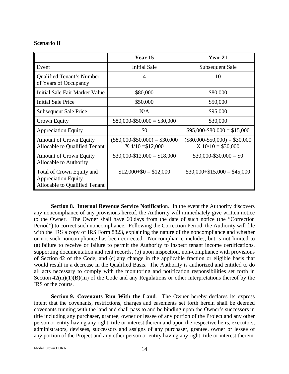#### **Scenario II**

|                                                                                          | Year 15                                                | Year 21                                                |
|------------------------------------------------------------------------------------------|--------------------------------------------------------|--------------------------------------------------------|
| Event                                                                                    | <b>Initial Sale</b>                                    | Subsequent Sale                                        |
| <b>Qualified Tenant's Number</b><br>of Years of Occupancy                                | $\overline{4}$                                         | 10                                                     |
| Initial Sale Fair Market Value                                                           | \$80,000                                               | \$80,000                                               |
| Initial Sale Price                                                                       | \$50,000                                               | \$50,000                                               |
| <b>Subsequent Sale Price</b>                                                             | N/A                                                    | \$95,000                                               |
| Crown Equity                                                                             | $$80,000 - $50,000 = $30,000$                          | \$30,000                                               |
| <b>Appreciation Equity</b>                                                               | \$0                                                    | $$95,000 - $80,000 = $15,000$                          |
| <b>Amount of Crown Equity</b><br>Allocable to Qualified Tenant                           | $($80,000 - $50,000) = $30,000$<br>$X$ 4/10 = \$12,000 | $($80,000 - $50,000) = $30,000$<br>$X 10/10 = $30,000$ |
| <b>Amount of Crown Equity</b><br>Allocable to Authority                                  | $$30,000-S12,000 = $18,000$                            | $$30,000 - $30,000 = $0$                               |
| Total of Crown Equity and<br><b>Appreciation Equity</b><br>Allocable to Qualified Tenant | $$12,000 + $0 = $12,000$                               | $$30,000 + $15,000 = $45,000$                          |

**Section 8. Internal Revenue Service Notification.** In the event the Authority discovers any noncompliance of any provisions hereof, the Authority will immediately give written notice to the Owner. The Owner shall have 60 days from the date of such notice (the "Correction Period") to correct such noncompliance. Following the Correction Period, the Authority will file with the IRS a copy of IRS Form 8823, explaining the nature of the noncompliance and whether or not such noncompliance has been corrected. Noncompliance includes, but is not limited to (a) failure to receive or failure to permit the Authority to inspect tenant income certifications, supporting documentation and rent records, (b) upon inspection, non-compliance with provisions of Section 42 of the Code, and (c) any change in the applicable fraction or eligible basis that would result in a decrease in the Qualified Basis. The Authority is authorized and entitled to do all acts necessary to comply with the monitoring and notification responsibilities set forth in Section  $42(m)(1)(B)(iii)$  of the Code and any Regulations or other interpretations thereof by the IRS or the courts.

**Section 9. Covenants Run With the Land**. The Owner hereby declares its express intent that the covenants, restrictions, charges and easements set forth herein shall be deemed covenants running with the land and shall pass to and be binding upon the Owner's successors in title including any purchaser, grantee, owner or lessee of any portion of the Project and any other person or entity having any right, title or interest therein and upon the respective heirs, executors, administrators, devisees, successors and assigns of any purchaser, grantee, owner or lessee of any portion of the Project and any other person or entity having any right, title or interest therein.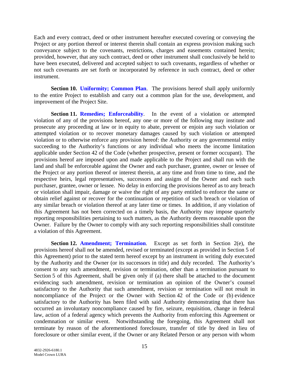Each and every contract, deed or other instrument hereafter executed covering or conveying the Project or any portion thereof or interest therein shall contain an express provision making such conveyance subject to the covenants, restrictions, charges and easements contained herein; provided, however, that any such contract, deed or other instrument shall conclusively be held to have been executed, delivered and accepted subject to such covenants, regardless of whether or not such covenants are set forth or incorporated by reference in such contract, deed or other instrument.

**Section 10. Uniformity; Common Plan.** The provisions hereof shall apply uniformly to the entire Project to establish and carry out a common plan for the use, development, and improvement of the Project Site.

**Section 11. Remedies; Enforceability.** In the event of a violation or attempted violation of any of the provisions hereof, any one or more of the following may institute and prosecute any proceeding at law or in equity to abate, prevent or enjoin any such violation or attempted violation or to recover monetary damages caused by such violation or attempted violation or to otherwise enforce any provision hereof: the Authority or any governmental entity succeeding to the Authority's functions or any individual who meets the income limitation applicable under Section 42 of the Code (whether prospective, present or former occupant). The provisions hereof are imposed upon and made applicable to the Project and shall run with the land and shall be enforceable against the Owner and each purchaser, grantee, owner or lessee of the Project or any portion thereof or interest therein, at any time and from time to time, and the respective heirs, legal representatives, successors and assigns of the Owner and each such purchaser, grantee, owner or lessee. No delay in enforcing the provisions hereof as to any breach or violation shall impair, damage or waive the right of any party entitled to enforce the same or obtain relief against or recover for the continuation or repetition of such breach or violation of any similar breach or violation thereof at any later time or times. In addition, if any violation of this Agreement has not been corrected on a timely basis, the Authority may impose quarterly reporting responsibilities pertaining to such matters, as the Authority deems reasonable upon the Owner. Failure by the Owner to comply with any such reporting responsibilities shall constitute a violation of this Agreement.

**Section 12. Amendment; Termination.** Except as set forth in Section 2(e), the provisions hereof shall not be amended, revised or terminated (except as provided in Section 5 of this Agreement) prior to the stated term hereof except by an instrument in writing duly executed by the Authority and the Owner (or its successors in title) and duly recorded. The Authority's consent to any such amendment, revision or termination, other than a termination pursuant to Section 5 of this Agreement, shall be given only if (a) there shall be attached to the document evidencing such amendment, revision or termination an opinion of the Owner's counsel satisfactory to the Authority that such amendment, revision or termination will not result in noncompliance of the Project or the Owner with Section 42 of the Code or (b) evidence satisfactory to the Authority has been filed with said Authority demonstrating that there has occurred an involuntary noncompliance caused by fire, seizure, requisition, change in federal law, action of a federal agency which prevents the Authority from enforcing this Agreement or condemnation or similar event. Notwithstanding the foregoing, this Agreement shall not terminate by reason of the aforementioned foreclosure, transfer of title by deed in lieu of foreclosure or other similar event, if the Owner or any Related Person or any person with whom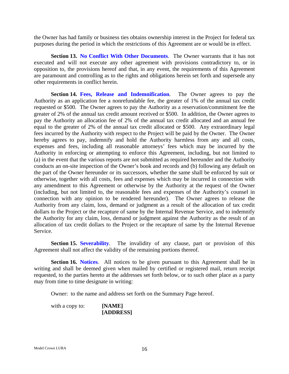the Owner has had family or business ties obtains ownership interest in the Project for federal tax purposes during the period in which the restrictions of this Agreement are or would be in effect.

**Section 13. No Conflict With Other Documents**. The Owner warrants that it has not executed and will not execute any other agreement with provisions contradictory to, or in opposition to, the provisions hereof and that, in any event, the requirements of this Agreement are paramount and controlling as to the rights and obligations herein set forth and supersede any other requirements in conflict herein.

**Section 14. Fees, Release and Indemnification.** The Owner agrees to pay the Authority as an application fee a nonrefundable fee, the greater of 1% of the annual tax credit requested or \$500. The Owner agrees to pay the Authority as a reservation/commitment fee the greater of 2% of the annual tax credit amount received or \$500. In addition, the Owner agrees to pay the Authority an allocation fee of 2% of the annual tax credit allocated and an annual fee equal to the greater of 2% of the annual tax credit allocated or \$500. Any extraordinary legal fees incurred by the Authority with respect to the Project will be paid by the Owner. The Owner hereby agrees to pay, indemnify and hold the Authority harmless from any and all costs, expenses and fees, including all reasonable attorneys' fees which may be incurred by the Authority in enforcing or attempting to enforce this Agreement, including, but not limited to (a) in the event that the various reports are not submitted as required hereunder and the Authority conducts an on-site inspection of the Owner's book and records and (b) following any default on the part of the Owner hereunder or its successors, whether the same shall be enforced by suit or otherwise, together with all costs, fees and expenses which may be incurred in connection with any amendment to this Agreement or otherwise by the Authority at the request of the Owner (including, but not limited to, the reasonable fees and expenses of the Authority's counsel in connection with any opinion to be rendered hereunder). The Owner agrees to release the Authority from any claim, loss, demand or judgment as a result of the allocation of tax credit dollars to the Project or the recapture of same by the Internal Revenue Service, and to indemnify the Authority for any claim, loss, demand or judgment against the Authority as the result of an allocation of tax credit dollars to the Project or the recapture of same by the Internal Revenue Service.

**Section 15. Severability**. The invalidity of any clause, part or provision of this Agreement shall not affect the validity of the remaining portions thereof.

**Section 16. Notices.** All notices to be given pursuant to this Agreement shall be in writing and shall be deemed given when mailed by certified or registered mail, return receipt requested, to the parties hereto at the addresses set forth below, or to such other place as a party may from time to time designate in writing:

Owner: to the name and address set forth on the Summary Page hereof.

with a copy to: **[NAME] [ADDRESS]**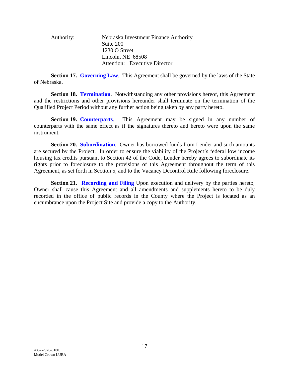Authority: Nebraska Investment Finance Authority Suite 200 1230 O Street Lincoln, NE 68508 Attention: Executive Director

**Section 17. Governing Law.** This Agreement shall be governed by the laws of the State of Nebraska.

**Section 18. Termination.** Notwithstanding any other provisions hereof, this Agreement and the restrictions and other provisions hereunder shall terminate on the termination of the Qualified Project Period without any further action being taken by any party hereto.

**Section 19. Counterparts**. This Agreement may be signed in any number of counterparts with the same effect as if the signatures thereto and hereto were upon the same instrument.

**Section 20. Subordination**. Owner has borrowed funds from Lender and such amounts are secured by the Project. In order to ensure the viability of the Project's federal low income housing tax credits pursuant to Section 42 of the Code, Lender hereby agrees to subordinate its rights prior to foreclosure to the provisions of this Agreement throughout the term of this Agreement, as set forth in Section 5, and to the Vacancy Decontrol Rule following foreclosure.

**Section 21. Recording and Filing** Upon execution and delivery by the parties hereto, Owner shall cause this Agreement and all amendments and supplements hereto to be duly recorded in the office of public records in the County where the Project is located as an encumbrance upon the Project Site and provide a copy to the Authority.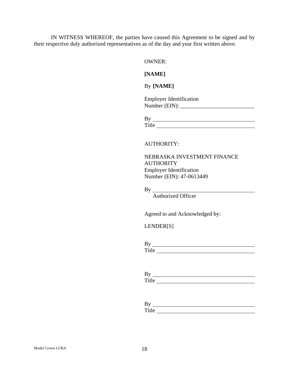IN WITNESS WHEREOF, the parties have caused this Agreement to be signed and by their respective duly authorized representatives as of the day and year first written above.

OWNER:

**[NAME]**

By **[NAME]** 

| <b>Employer Identification</b> |  |
|--------------------------------|--|
| Number (EIN):                  |  |

| ______ |
|--------|

#### AUTHORITY:

NEBRASKA INVESTMENT FINANCE **AUTHORITY** Employer Identification Number (EIN): 47-0613449

By

Authorized Officer

Agreed to and Acknowledged by:

LENDER[S]

| $B^{\prime}$    |  |  |  |
|-----------------|--|--|--|
| $T_{\rm it}$ le |  |  |  |

| ມ |  |  |
|---|--|--|
| п |  |  |

| ്                    |  |  |
|----------------------|--|--|
| m.<br>11 I A<br>---- |  |  |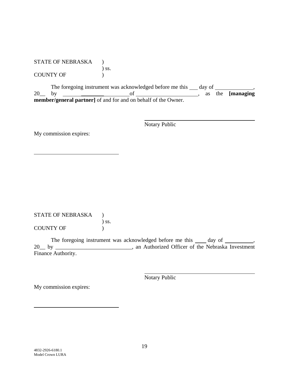#### STATE OF NEBRASKA ) ) ss. COUNTY OF  $\qquad \qquad$  )

The foregoing instrument was acknowledged before me this  $\rule{1em}{0.15mm}$  day of  $\rule{1.15mm}{0.15mm}$ 20\_\_ by \_\_\_\_\_\_\_\_ of , as the **[managing member/general partner]** of and for and on behalf of the Owner.

Notary Public

My commission expires:

STATE OF NEBRASKA ) ) ss. COUNTY OF  $\qquad \qquad$  )

The foregoing instrument was acknowledged before me this  $\_\_\_day$  of  $\_\_\_\_\_$ , 20\_\_ by \_\_\_\_\_\_\_\_\_\_\_\_\_\_\_\_\_\_\_\_\_\_\_\_\_\_\_, an Authorized Officer of the Nebraska Investment Finance Authority.

Notary Public

My commission expires: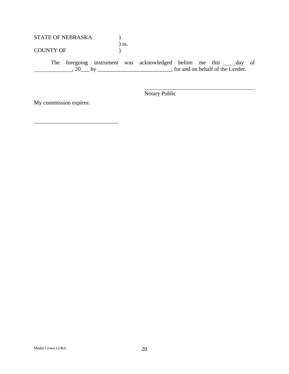## STATE OF NEBRASKA  $)$ ) ss.

COUNTY OF  $(1, 1)$ 

The foregoing instrument was acknowledged before me this \_\_\_\_day of  $\overline{20}$ ,  $\overline{20}$  by \_\_\_\_\_\_\_\_\_\_\_\_\_\_\_\_\_\_\_\_\_\_\_\_\_\_\_\_\_\_\_, for and on behalf of the Lender.

Notary Public

My commission expires: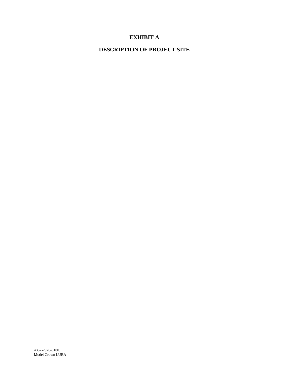## **EXHIBIT A**

## **DESCRIPTION OF PROJECT SITE**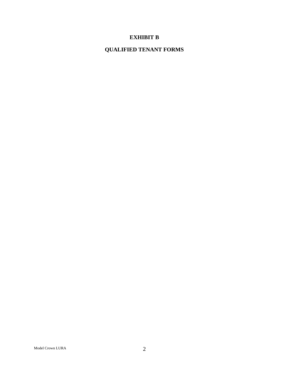## **EXHIBIT B**

## **QUALIFIED TENANT FORMS**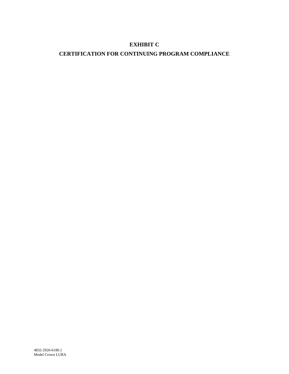## **EXHIBIT C**

## **CERTIFICATION FOR CONTINUING PROGRAM COMPLIANCE**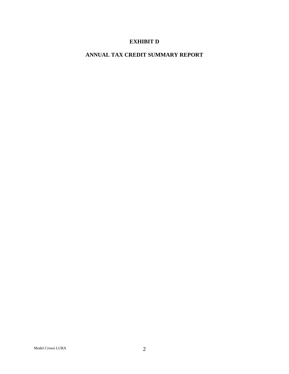## **EXHIBIT D**

## **ANNUAL TAX CREDIT SUMMARY REPORT**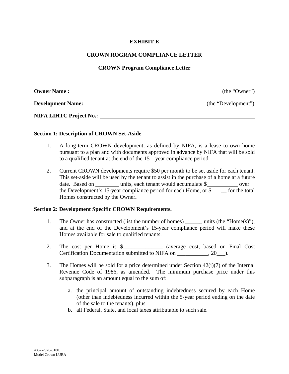## **EXHIBIT E**

## **CROWN ROGRAM COMPLIANCE LETTER**

## **CROWN Program Compliance Letter**

| <b>Owner Name:</b>             | (the "Owner")       |
|--------------------------------|---------------------|
| <b>Development Name:</b>       | (the "Development") |
| <b>NIFA LIHTC Project No.:</b> |                     |

### **Section 1: Description of CROWN Set-Aside**

- 1. A long-term CROWN development, as defined by NIFA, is a lease to own home pursuant to a plan and with documents approved in advance by NIFA that will be sold to a qualified tenant at the end of the 15 – year compliance period.
- 2. Current CROWN developments require \$50 per month to be set aside for each tenant. This set-aside will be used by the tenant to assist in the purchase of a home at a future date. Based on units, each tenant would accumulate \$ over the Development's 15-year compliance period for each Home, or \$ \_\_ for the total Homes constructed by the Owner**.**

### **Section 2: Development Specific CROWN Requirements.**

- 1. The Owner has constructed (list the number of homes) units (the "Home(s)"), and at the end of the Development's 15-year compliance period will make these Homes available for sale to qualified tenants.
- 2. The cost per Home is \$\_\_\_\_\_\_\_\_\_\_\_\_\_\_ (average cost, based on Final Cost Certification Documentation submitted to NIFA on  $\qquad \qquad$ , 20  $\qquad$ ).
- 3. The Homes will be sold for a price determined under Section 42(i)(7) of the Internal Revenue Code of 1986, as amended. The minimum purchase price under this subparagraph is an amount equal to the sum of:
	- a. the principal amount of outstanding indebtedness secured by each Home (other than indebtedness incurred within the 5-year period ending on the date of the sale to the tenants), plus
	- b. all Federal, State, and local taxes attributable to such sale.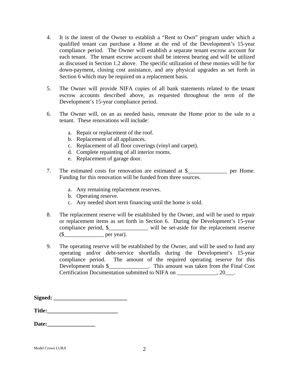- 4. It is the intent of the Owner to establish a "Rent to Own" program under which a qualified tenant can purchase a Home at the end of the Development's 15-year compliance period. The Owner will establish a separate tenant escrow account for each tenant. The tenant escrow account shall be interest bearing and will be utilized as discussed in Section 1.2 above. The specific utilization of these monies will be for down-payment, closing cost assistance, and any physical upgrades as set forth in Section 6 which may be required on a replacement basis.
- 5. The Owner will provide NIFA copies of all bank statements related to the tenant escrow accounts described above, as requested throughout the term of the Development's 15-year compliance period.
- 6. The Owner will, on an as needed basis, renovate the Home prior to the sale to a tenant. These renovations will include:
	- a. Repair or replacement of the roof.
	- b. Replacement of all appliances.
	- c. Replacement of all floor coverings (vinyl and carpet).
	- d. Complete repainting of all interior rooms.
	- e. Replacement of garage door.
- 7. The estimated costs for renovation are estimated at \$\_\_\_\_\_\_\_\_\_\_\_\_\_\_\_\_ per Home. Funding for this renovation will be funded from three sources.
	- a. Any remaining replacement reserves.
	- b. Operating reserve.
	- c. Any needed short term financing until the home is sold.
- 8. The replacement reserve will be established by the Owner, and will be used to repair or replacement items as set forth in Section 6. During the Development's 15-year compliance period, \$\_\_\_\_\_\_\_\_\_\_\_\_\_\_ will be set-aside for the replacement reserve  $(\$  per year).
- 9. The operating reserve will be established by the Owner, and will be used to fund any operating and/or debt-service shortfalls during the Development's 15-year compliance period. The amount of the required operating reserve for this Development totals \$\_\_\_\_\_\_\_\_\_\_\_\_\_\_. This amount was taken from the Final Cost Certification Documentation submitted to NIFA on \_\_\_\_\_\_\_\_\_\_\_\_\_\_, 20\_\_\_.

**Signed: \_\_\_\_\_\_\_\_\_\_\_\_\_\_\_\_\_\_\_\_\_\_\_\_\_\_** 

**Title:\_\_\_\_\_\_\_\_\_\_\_\_\_\_\_\_\_\_\_\_\_\_\_\_\_** 

**Date:\_\_\_\_\_\_\_\_\_\_\_\_\_\_\_\_\_**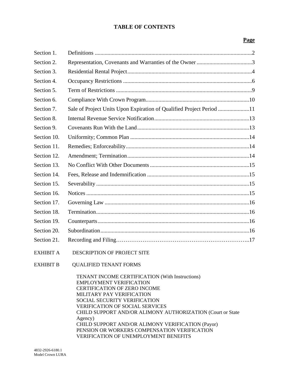## **TABLE OF CONTENTS**

## **Page**

| Section 1.       |                                                                      |  |
|------------------|----------------------------------------------------------------------|--|
| Section 2.       |                                                                      |  |
| Section 3.       |                                                                      |  |
| Section 4.       |                                                                      |  |
| Section 5.       |                                                                      |  |
| Section 6.       |                                                                      |  |
| Section 7.       | Sale of Project Units Upon Expiration of Qualified Project Period 11 |  |
| Section 8.       |                                                                      |  |
| Section 9.       |                                                                      |  |
| Section 10.      |                                                                      |  |
| Section 11.      |                                                                      |  |
| Section 12.      |                                                                      |  |
| Section 13.      |                                                                      |  |
| Section 14.      |                                                                      |  |
| Section 15.      |                                                                      |  |
| Section 16.      |                                                                      |  |
| Section 17.      |                                                                      |  |
| Section 18.      |                                                                      |  |
| Section 19.      |                                                                      |  |
| Section 20.      |                                                                      |  |
| Section 21.      |                                                                      |  |
| <b>EXHIBIT A</b> | DESCRIPTION OF PROJECT SITE                                          |  |
| <b>EXHIBIT B</b> | <b>OUALIFIED TENANT FORMS</b>                                        |  |

 TENANT INCOME CERTIFICATION (With Instructions) EMPLOYMENT VERIFICATION CERTIFICATION OF ZERO INCOME MILITARY PAY VERIFICATION SOCIAL SECURITY VERIFICATION VERIFICATION OF SOCIAL SERVICES CHILD SUPPORT AND/OR ALIMONY AUTHORIZATION (Court or State Agency) CHILD SUPPORT AND/OR ALIMONY VERIFICATION (Payor) PENSION OR WORKERS COMPENSATION VERIFICATION VERIFICATION OF UNEMPLOYMENT BENEFITS